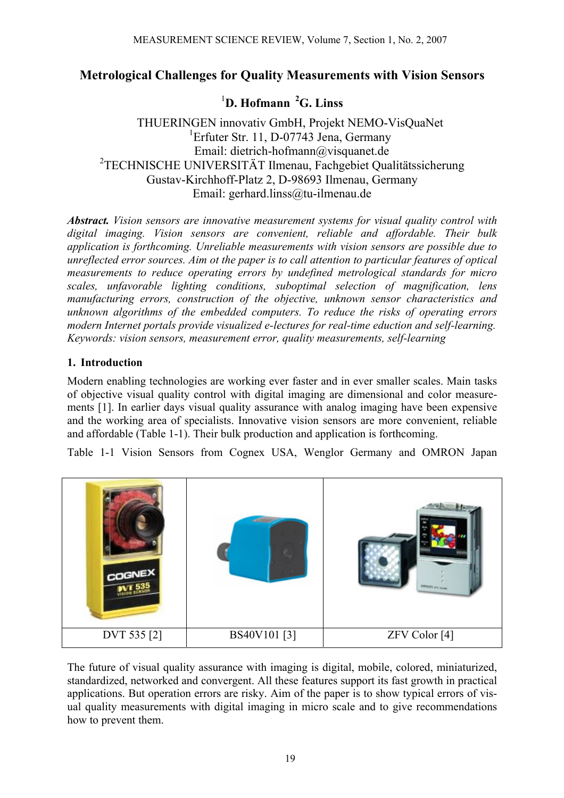### **Metrological Challenges for Quality Measurements with Vision Sensors**

# 1 **D. Hofmann 2G. Linss**

THUERINGEN innovativ GmbH, Projekt NEMO-VisQuaNet <sup>1</sup>Erfuter Str. 11, D-07743 Jena, Germany Email: dietrich-hofmann@visquanet.de 2 TECHNISCHE UNIVERSITÄT Ilmenau, Fachgebiet Qualitätssicherung Gustav-Kirchhoff-Platz 2, D-98693 Ilmenau, Germany Email: gerhard.linss@tu-ilmenau.de

*Abstract. Vision sensors are innovative measurement systems for visual quality control with digital imaging. Vision sensors are convenient, reliable and affordable. Their bulk application is forthcoming. Unreliable measurements with vision sensors are possible due to unreflected error sources. Aim ot the paper is to call attention to particular features of optical measurements to reduce operating errors by undefined metrological standards for micro scales, unfavorable lighting conditions, suboptimal selection of magnification, lens manufacturing errors, construction of the objective, unknown sensor characteristics and unknown algorithms of the embedded computers. To reduce the risks of operating errors modern Internet portals provide visualized e-lectures for real-time eduction and self-learning. Keywords: vision sensors, measurement error, quality measurements, self-learning* 

#### **1. Introduction**

Modern enabling technologies are working ever faster and in ever smaller scales. Main tasks of objective visual quality control with digital imaging are dimensional and color measurements [1]. In earlier days visual quality assurance with analog imaging have been expensive and the working area of specialists. Innovative vision sensors are more convenient, reliable and affordable (Table 1-1). Their bulk production and application is forthcoming.

Table 1-1 Vision Sensors from Cognex USA, Wenglor Germany and OMRON Japan



The future of visual quality assurance with imaging is digital, mobile, colored, miniaturized, standardized, networked and convergent. All these features support its fast growth in practical applications. But operation errors are risky. Aim of the paper is to show typical errors of visual quality measurements with digital imaging in micro scale and to give recommendations how to prevent them.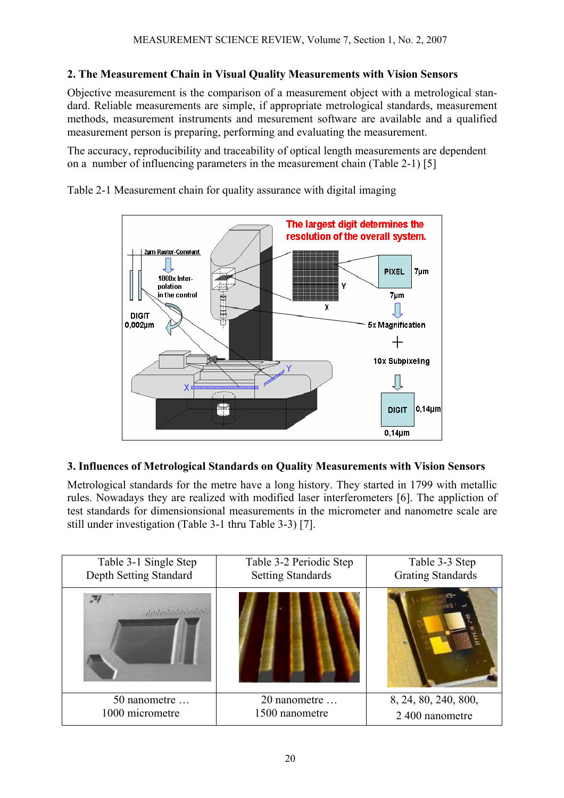### **2. The Measurement Chain in Visual Quality Measurements with Vision Sensors**

Objective measurement is the comparison of a measurement object with a metrological standard. Reliable measurements are simple, if appropriate metrological standards, measurement methods, measurement instruments and mesurement software are available and a qualified measurement person is preparing, performing and evaluating the measurement.

The accuracy, reproducibility and traceability of optical length measurements are dependent on a number of influencing parameters in the measurement chain (Table 2-1) [5]

Table 2-1 Measurement chain for quality assurance with digital imaging



#### **3. Influences of Metrological Standards on Quality Measurements with Vision Sensors**

Metrological standards for the metre have a long history. They started in 1799 with metallic rules. Nowadays they are realized with modified laser interferometers [6]. The appliction of test standards for dimensionsional measurements in the micrometer and nanometre scale are still under investigation (Table 3-1 thru Table 3-3) [7].

| Table 3-1 Single Step<br>Depth Setting Standard | Table 3-2 Periodic Step<br><b>Setting Standards</b> | Table 3-3 Step<br><b>Grating Standards</b> |  |
|-------------------------------------------------|-----------------------------------------------------|--------------------------------------------|--|
| 一方<br>arleteleteleteleteleteletela              |                                                     |                                            |  |
| 50 nanometre<br>1000 micrometre                 | 20 nanometre<br>1500 nanometre                      | 8, 24, 80, 240, 800,                       |  |
|                                                 |                                                     | 2 400 nanometre                            |  |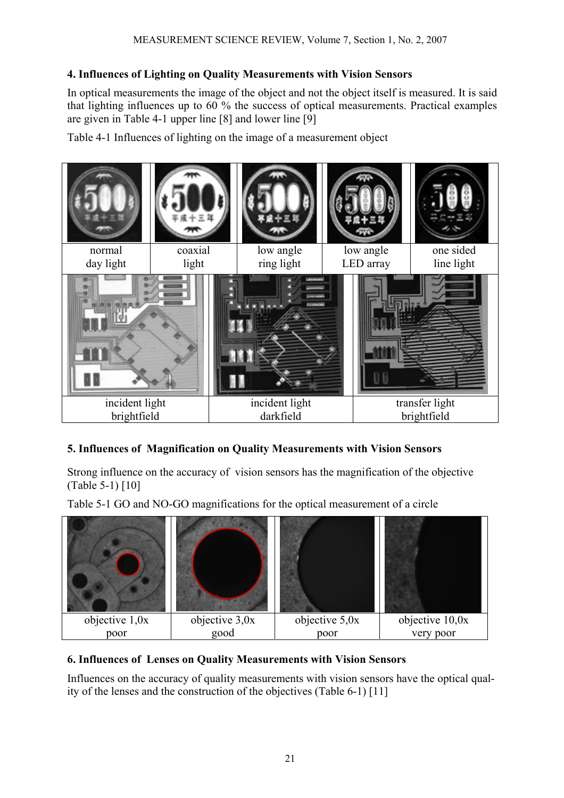### **4. Influences of Lighting on Quality Measurements with Vision Sensors**

In optical measurements the image of the object and not the object itself is measured. It is said that lighting influences up to 60 % the success of optical measurements. Practical examples are given in Table 4-1 upper line [8] and lower line [9]

Table 4-1 Influences of lighting on the image of a measurement object



# **5. Influences of Magnification on Quality Measurements with Vision Sensors**

Strong influence on the accuracy of vision sensors has the magnification of the objective (Table 5-1) [10]

Table 5-1 GO and NO-GO magnifications for the optical measurement of a circle



# **6. Influences of Lenses on Quality Measurements with Vision Sensors**

Influences on the accuracy of quality measurements with vision sensors have the optical quality of the lenses and the construction of the objectives (Table 6-1) [11]